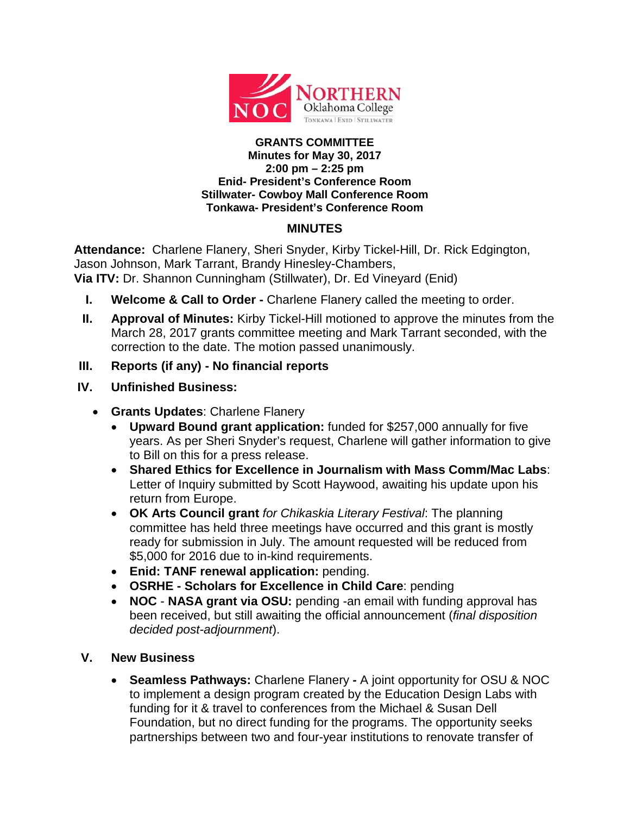

## **GRANTS COMMITTEE Minutes for May 30, 2017 2:00 pm – 2:25 pm Enid- President's Conference Room Stillwater- Cowboy Mall Conference Room Tonkawa- President's Conference Room**

## **MINUTES**

**Attendance:** Charlene Flanery, Sheri Snyder, Kirby Tickel-Hill, Dr. Rick Edgington, Jason Johnson, Mark Tarrant, Brandy Hinesley-Chambers, **Via ITV:** Dr. Shannon Cunningham (Stillwater), Dr. Ed Vineyard (Enid)

- **I. Welcome & Call to Order -** Charlene Flanery called the meeting to order.
- **II. Approval of Minutes:** Kirby Tickel-Hill motioned to approve the minutes from the March 28, 2017 grants committee meeting and Mark Tarrant seconded, with the correction to the date. The motion passed unanimously.
- **III. Reports (if any) - No financial reports**
- **IV. Unfinished Business:**
	- **Grants Updates**: Charlene Flanery
		- **Upward Bound grant application:** funded for \$257,000 annually for five years. As per Sheri Snyder's request, Charlene will gather information to give to Bill on this for a press release.
		- **Shared Ethics for Excellence in Journalism with Mass Comm/Mac Labs**: Letter of Inquiry submitted by Scott Haywood, awaiting his update upon his return from Europe.
		- **OK Arts Council grant** *for Chikaskia Literary Festival*: The planning committee has held three meetings have occurred and this grant is mostly ready for submission in July. The amount requested will be reduced from \$5,000 for 2016 due to in-kind requirements.
		- **Enid: TANF renewal application:** pending.
		- **OSRHE - Scholars for Excellence in Child Care**: pending
		- **NOC NASA grant via OSU:** pending -an email with funding approval has been received, but still awaiting the official announcement (*final disposition decided post-adjournment*).

## **V. New Business**

• **Seamless Pathways:** Charlene Flanery *-* A joint opportunity for OSU & NOC to implement a design program created by the Education Design Labs with funding for it & travel to conferences from the Michael & Susan Dell Foundation, but no direct funding for the programs. The opportunity seeks partnerships between two and four-year institutions to renovate transfer of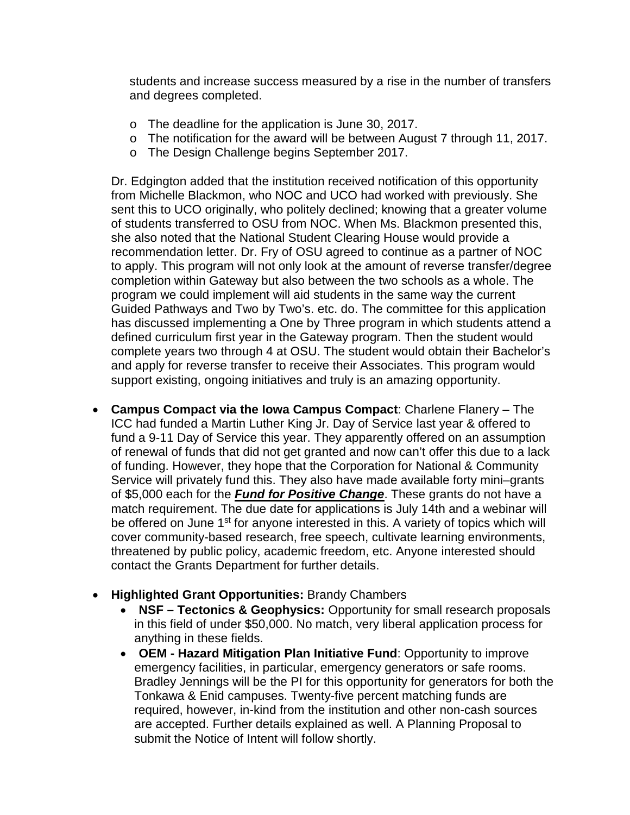students and increase success measured by a rise in the number of transfers and degrees completed.

- o The deadline for the application is June 30, 2017.
- o The notification for the award will be between August 7 through 11, 2017.
- o The Design Challenge begins September 2017.

Dr. Edgington added that the institution received notification of this opportunity from Michelle Blackmon, who NOC and UCO had worked with previously. She sent this to UCO originally, who politely declined; knowing that a greater volume of students transferred to OSU from NOC. When Ms. Blackmon presented this, she also noted that the National Student Clearing House would provide a recommendation letter. Dr. Fry of OSU agreed to continue as a partner of NOC to apply. This program will not only look at the amount of reverse transfer/degree completion within Gateway but also between the two schools as a whole. The program we could implement will aid students in the same way the current Guided Pathways and Two by Two's. etc. do. The committee for this application has discussed implementing a One by Three program in which students attend a defined curriculum first year in the Gateway program. Then the student would complete years two through 4 at OSU. The student would obtain their Bachelor's and apply for reverse transfer to receive their Associates. This program would support existing, ongoing initiatives and truly is an amazing opportunity.

- **Campus Compact via the Iowa Campus Compact**: Charlene Flanery The ICC had funded a Martin Luther King Jr. Day of Service last year & offered to fund a 9-11 Day of Service this year. They apparently offered on an assumption of renewal of funds that did not get granted and now can't offer this due to a lack of funding. However, they hope that the Corporation for National & Community Service will privately fund this. They also have made available forty mini–grants of \$5,000 each for the *Fund for Positive Change*. These grants do not have a match requirement. The due date for applications is July 14th and a webinar will be offered on June 1<sup>st</sup> for anyone interested in this. A variety of topics which will cover community-based research, free speech, cultivate learning environments, threatened by public policy, academic freedom, etc. Anyone interested should contact the Grants Department for further details.
- **Highlighted Grant Opportunities:** Brandy Chambers
	- **NSF – Tectonics & Geophysics:** Opportunity for small research proposals in this field of under \$50,000. No match, very liberal application process for anything in these fields.
	- **OEM - Hazard Mitigation Plan Initiative Fund**: Opportunity to improve emergency facilities, in particular, emergency generators or safe rooms. Bradley Jennings will be the PI for this opportunity for generators for both the Tonkawa & Enid campuses. Twenty-five percent matching funds are required, however, in-kind from the institution and other non-cash sources are accepted. Further details explained as well. A Planning Proposal to submit the Notice of Intent will follow shortly.